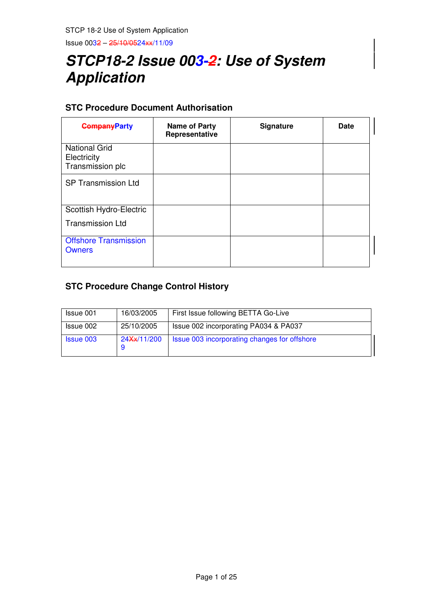# **STCP18-2 Issue 003-2: Use of System Application**

# **STC Procedure Document Authorisation**

| <b>CompanyParty</b>                                     | <b>Name of Party</b><br>Representative | Signature | <b>Date</b> |
|---------------------------------------------------------|----------------------------------------|-----------|-------------|
| <b>National Grid</b><br>Electricity<br>Transmission plc |                                        |           |             |
| <b>SP Transmission Ltd</b>                              |                                        |           |             |
| Scottish Hydro-Electric<br><b>Transmission Ltd</b>      |                                        |           |             |
| <b>Offshore Transmission</b><br><b>Owners</b>           |                                        |           |             |

# **STC Procedure Change Control History**

| Issue 001        | 16/03/2005  | First Issue following BETTA Go-Live          |
|------------------|-------------|----------------------------------------------|
| Issue 002        | 25/10/2005  | Issue 002 incorporating PA034 & PA037        |
| <b>Issue 003</b> | 24Xx/11/200 | Issue 003 incorporating changes for offshore |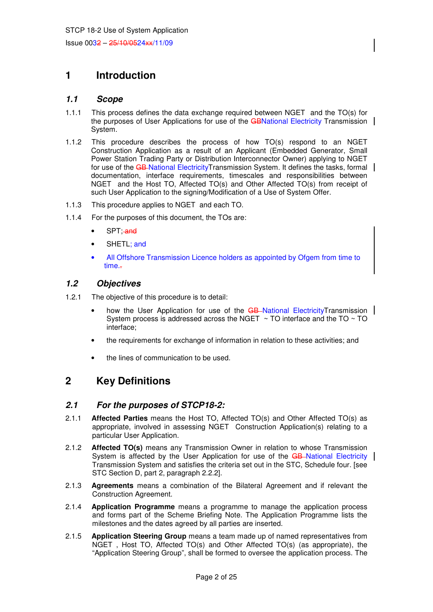# **1 Introduction**

# **1.1 Scope**

- 1.1.1 This process defines the data exchange required between NGET and the TO(s) for the purposes of User Applications for use of the GBNational Electricity Transmission System.
- 1.1.2 This procedure describes the process of how TO(s) respond to an NGET Construction Application as a result of an Applicant (Embedded Generator, Small Power Station Trading Party or Distribution Interconnector Owner) applying to NGET for use of the GB National Electricity Transmission System. It defines the tasks, formal documentation, interface requirements, timescales and responsibilities between NGET and the Host TO, Affected TO(s) and Other Affected TO(s) from receipt of such User Application to the signing/Modification of a Use of System Offer.
- 1.1.3 This procedure applies to NGET and each TO.
- 1.1.4 For the purposes of this document, the TOs are:
	- SPT; and
	- SHETL; and
	- All Offshore Transmission Licence holders as appointed by Ofgem from time to time.

# **1.2 Objectives**

1.2.1 The objective of this procedure is to detail:

- how the User Application for use of the GB-National ElectricityTransmission System process is addressed across the NGET  $~\sim$  TO interface and the TO  $\sim$  TO interface;
- the requirements for exchange of information in relation to these activities; and
- the lines of communication to be used.

# **2 Key Definitions**

# **2.1 For the purposes of STCP18-2:**

- 2.1.1 **Affected Parties** means the Host TO, Affected TO(s) and Other Affected TO(s) as appropriate, involved in assessing NGET Construction Application(s) relating to a particular User Application.
- 2.1.2 **Affected TO(s)** means any Transmission Owner in relation to whose Transmission System is affected by the User Application for use of the GB-National Electricity Transmission System and satisfies the criteria set out in the STC, Schedule four. [see STC Section D, part 2, paragraph 2.2.2].
- 2.1.3 **Agreements** means a combination of the Bilateral Agreement and if relevant the Construction Agreement.
- 2.1.4 **Application Programme** means a programme to manage the application process and forms part of the Scheme Briefing Note. The Application Programme lists the milestones and the dates agreed by all parties are inserted.
- 2.1.5 **Application Steering Group** means a team made up of named representatives from NGET , Host TO, Affected TO(s) and Other Affected TO(s) (as appropriate), the "Application Steering Group", shall be formed to oversee the application process. The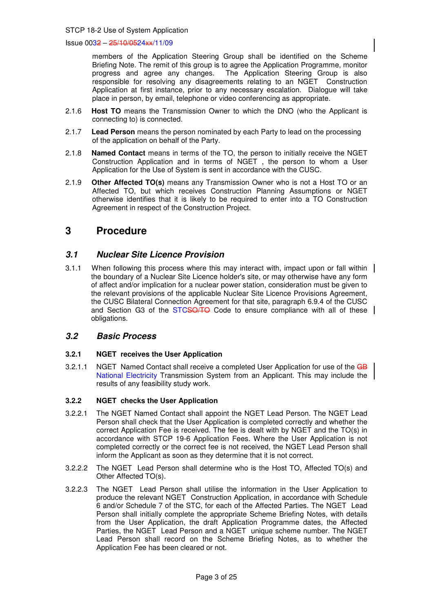members of the Application Steering Group shall be identified on the Scheme Briefing Note. The remit of this group is to agree the Application Programme, monitor progress and agree any changes. The Application Steering Group is also responsible for resolving any disagreements relating to an NGET Construction Application at first instance, prior to any necessary escalation. Dialogue will take place in person, by email, telephone or video conferencing as appropriate.

- 2.1.6 **Host TO** means the Transmission Owner to which the DNO (who the Applicant is connecting to) is connected.
- 2.1.7 **Lead Person** means the person nominated by each Party to lead on the processing of the application on behalf of the Party.
- 2.1.8 **Named Contact** means in terms of the TO, the person to initially receive the NGET Construction Application and in terms of NGET , the person to whom a User Application for the Use of System is sent in accordance with the CUSC.
- 2.1.9 **Other Affected TO(s)** means any Transmission Owner who is not a Host TO or an Affected TO, but which receives Construction Planning Assumptions or NGET otherwise identifies that it is likely to be required to enter into a TO Construction Agreement in respect of the Construction Project.

# **3 Procedure**

# **3.1 Nuclear Site Licence Provision**

3.1.1 When following this process where this may interact with, impact upon or fall within the boundary of a Nuclear Site Licence holder's site, or may otherwise have any form of affect and/or implication for a nuclear power station, consideration must be given to the relevant provisions of the applicable Nuclear Site Licence Provisions Agreement, the CUSC Bilateral Connection Agreement for that site, paragraph 6.9.4 of the CUSC and Section G3 of the STCSO/TO Code to ensure compliance with all of these obligations.

# **3.2 Basic Process**

# **3.2.1 NGET receives the User Application**

3.2.1.1 NGET Named Contact shall receive a completed User Application for use of the GB National Electricity Transmission System from an Applicant. This may include the results of any feasibility study work.

# **3.2.2 NGET checks the User Application**

- 3.2.2.1 The NGET Named Contact shall appoint the NGET Lead Person. The NGET Lead Person shall check that the User Application is completed correctly and whether the correct Application Fee is received. The fee is dealt with by NGET and the TO(s) in accordance with STCP 19-6 Application Fees. Where the User Application is not completed correctly or the correct fee is not received, the NGET Lead Person shall inform the Applicant as soon as they determine that it is not correct.
- 3.2.2.2 The NGET Lead Person shall determine who is the Host TO, Affected TO(s) and Other Affected TO(s).
- 3.2.2.3 The NGET Lead Person shall utilise the information in the User Application to produce the relevant NGET Construction Application, in accordance with Schedule 6 and/or Schedule 7 of the STC, for each of the Affected Parties. The NGET Lead Person shall initially complete the appropriate Scheme Briefing Notes, with details from the User Application, the draft Application Programme dates, the Affected Parties, the NGET Lead Person and a NGET unique scheme number. The NGET Lead Person shall record on the Scheme Briefing Notes, as to whether the Application Fee has been cleared or not.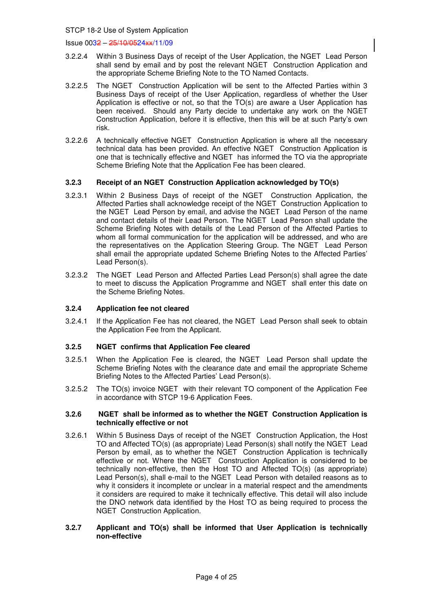- 3.2.2.4 Within 3 Business Days of receipt of the User Application, the NGET Lead Person shall send by email and by post the relevant NGET Construction Application and the appropriate Scheme Briefing Note to the TO Named Contacts.
- 3.2.2.5 The NGET Construction Application will be sent to the Affected Parties within 3 Business Days of receipt of the User Application, regardless of whether the User Application is effective or not, so that the TO(s) are aware a User Application has been received. Should any Party decide to undertake any work on the NGET Construction Application, before it is effective, then this will be at such Party's own risk.
- 3.2.2.6 A technically effective NGET Construction Application is where all the necessary technical data has been provided. An effective NGET Construction Application is one that is technically effective and NGET has informed the TO via the appropriate Scheme Briefing Note that the Application Fee has been cleared.

# **3.2.3 Receipt of an NGET Construction Application acknowledged by TO(s)**

- 3.2.3.1 Within 2 Business Days of receipt of the NGET Construction Application, the Affected Parties shall acknowledge receipt of the NGET Construction Application to the NGET Lead Person by email, and advise the NGET Lead Person of the name and contact details of their Lead Person. The NGET Lead Person shall update the Scheme Briefing Notes with details of the Lead Person of the Affected Parties to whom all formal communication for the application will be addressed, and who are the representatives on the Application Steering Group. The NGET Lead Person shall email the appropriate updated Scheme Briefing Notes to the Affected Parties' Lead Person(s).
- 3.2.3.2 The NGET Lead Person and Affected Parties Lead Person(s) shall agree the date to meet to discuss the Application Programme and NGET shall enter this date on the Scheme Briefing Notes.

### **3.2.4 Application fee not cleared**

3.2.4.1 If the Application Fee has not cleared, the NGET Lead Person shall seek to obtain the Application Fee from the Applicant.

### **3.2.5 NGET confirms that Application Fee cleared**

- 3.2.5.1 When the Application Fee is cleared, the NGET Lead Person shall update the Scheme Briefing Notes with the clearance date and email the appropriate Scheme Briefing Notes to the Affected Parties' Lead Person(s).
- 3.2.5.2 The TO(s) invoice NGET with their relevant TO component of the Application Fee in accordance with STCP 19-6 Application Fees.

### **3.2.6 NGET shall be informed as to whether the NGET Construction Application is technically effective or not**

3.2.6.1 Within 5 Business Days of receipt of the NGET Construction Application, the Host TO and Affected TO(s) (as appropriate) Lead Person(s) shall notify the NGET Lead Person by email, as to whether the NGET Construction Application is technically effective or not. Where the NGET Construction Application is considered to be technically non-effective, then the Host TO and Affected TO(s) (as appropriate) Lead Person(s), shall e-mail to the NGET Lead Person with detailed reasons as to why it considers it incomplete or unclear in a material respect and the amendments it considers are required to make it technically effective. This detail will also include the DNO network data identified by the Host TO as being required to process the NGET Construction Application.

### **3.2.7 Applicant and TO(s) shall be informed that User Application is technically non-effective**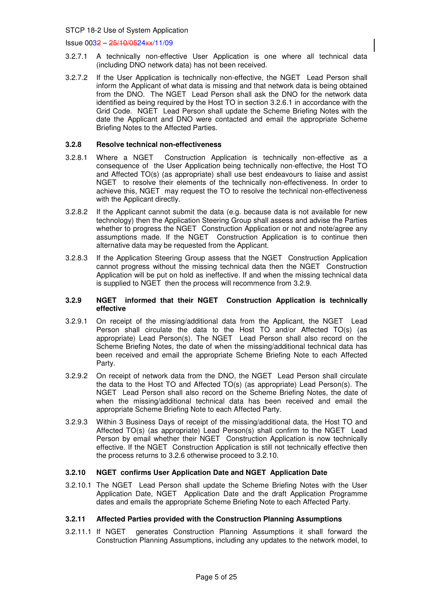- 3.2.7.1 A technically non-effective User Application is one where all technical data (including DNO network data) has not been received.
- 3.2.7.2 If the User Application is technically non-effective, the NGET Lead Person shall inform the Applicant of what data is missing and that network data is being obtained from the DNO. The NGET Lead Person shall ask the DNO for the network data identified as being required by the Host TO in section 3.2.6.1 in accordance with the Grid Code. NGET Lead Person shall update the Scheme Briefing Notes with the date the Applicant and DNO were contacted and email the appropriate Scheme Briefing Notes to the Affected Parties.

# **3.2.8 Resolve technical non-effectiveness**

- 3.2.8.1 Where a NGET Construction Application is technically non-effective as a consequence of the User Application being technically non-effective, the Host TO and Affected TO(s) (as appropriate) shall use best endeavours to liaise and assist NGET to resolve their elements of the technically non-effectiveness. In order to achieve this, NGET may request the TO to resolve the technical non-effectiveness with the Applicant directly.
- 3.2.8.2 If the Applicant cannot submit the data (e.g. because data is not available for new technology) then the Application Steering Group shall assess and advise the Parties whether to progress the NGET Construction Application or not and note/agree any assumptions made. If the NGET Construction Application is to continue then alternative data may be requested from the Applicant.
- 3.2.8.3 If the Application Steering Group assess that the NGET Construction Application cannot progress without the missing technical data then the NGET Construction Application will be put on hold as ineffective. If and when the missing technical data is supplied to NGET then the process will recommence from 3.2.9.

### **3.2.9 NGET informed that their NGET Construction Application is technically effective**

- 3.2.9.1 On receipt of the missing/additional data from the Applicant, the NGET Lead Person shall circulate the data to the Host TO and/or Affected TO(s) (as appropriate) Lead Person(s). The NGET Lead Person shall also record on the Scheme Briefing Notes, the date of when the missing/additional technical data has been received and email the appropriate Scheme Briefing Note to each Affected Party.
- 3.2.9.2 On receipt of network data from the DNO, the NGET Lead Person shall circulate the data to the Host TO and Affected TO(s) (as appropriate) Lead Person(s). The NGET Lead Person shall also record on the Scheme Briefing Notes, the date of when the missing/additional technical data has been received and email the appropriate Scheme Briefing Note to each Affected Party.
- 3.2.9.3 Within 3 Business Days of receipt of the missing/additional data, the Host TO and Affected TO(s) (as appropriate) Lead Person(s) shall confirm to the NGET Lead Person by email whether their NGET Construction Application is now technically effective. If the NGET Construction Application is still not technically effective then the process returns to 3.2.6 otherwise proceed to 3.2.10.

# **3.2.10 NGET confirms User Application Date and NGET Application Date**

3.2.10.1 The NGET Lead Person shall update the Scheme Briefing Notes with the User Application Date, NGET Application Date and the draft Application Programme dates and emails the appropriate Scheme Briefing Note to each Affected Party.

# **3.2.11 Affected Parties provided with the Construction Planning Assumptions**

3.2.11.1 If NGET generates Construction Planning Assumptions it shall forward the Construction Planning Assumptions, including any updates to the network model, to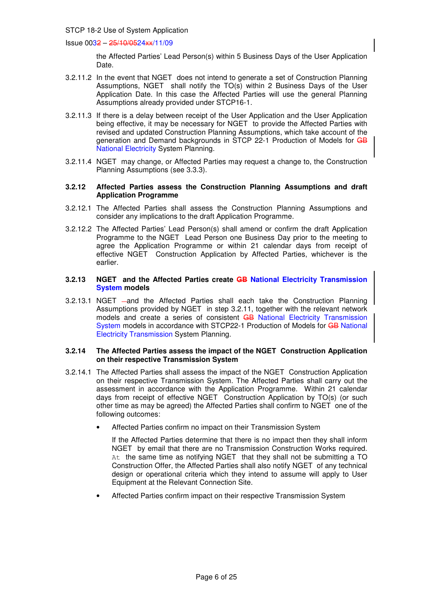the Affected Parties' Lead Person(s) within 5 Business Days of the User Application Date.

- 3.2.11.2 In the event that NGET does not intend to generate a set of Construction Planning Assumptions, NGET shall notify the TO(s) within 2 Business Days of the User Application Date. In this case the Affected Parties will use the general Planning Assumptions already provided under STCP16-1.
- 3.2.11.3 If there is a delay between receipt of the User Application and the User Application being effective, it may be necessary for NGET to provide the Affected Parties with revised and updated Construction Planning Assumptions, which take account of the generation and Demand backgrounds in STCP 22-1 Production of Models for GB National Electricity System Planning.
- 3.2.11.4 NGET may change, or Affected Parties may request a change to, the Construction Planning Assumptions (see 3.3.3).

### **3.2.12 Affected Parties assess the Construction Planning Assumptions and draft Application Programme**

- 3.2.12.1 The Affected Parties shall assess the Construction Planning Assumptions and consider any implications to the draft Application Programme.
- 3.2.12.2 The Affected Parties' Lead Person(s) shall amend or confirm the draft Application Programme to the NGET Lead Person one Business Day prior to the meeting to agree the Application Programme or within 21 calendar days from receipt of effective NGET Construction Application by Affected Parties, whichever is the earlier.

### **3.2.13 NGET and the Affected Parties create GB National Electricity Transmission System models**

3.2.13.1 NGET -and the Affected Parties shall each take the Construction Planning Assumptions provided by NGET in step 3.2.11, together with the relevant network models and create a series of consistent GB National Electricity Transmission System models in accordance with STCP22-1 Production of Models for GB National Electricity Transmission System Planning.

### **3.2.14 The Affected Parties assess the impact of the NGET Construction Application on their respective Transmission System**

- 3.2.14.1 The Affected Parties shall assess the impact of the NGET Construction Application on their respective Transmission System. The Affected Parties shall carry out the assessment in accordance with the Application Programme. Within 21 calendar days from receipt of effective NGET Construction Application by TO(s) (or such other time as may be agreed) the Affected Parties shall confirm to NGET one of the following outcomes:
	- Affected Parties confirm no impact on their Transmission System

If the Affected Parties determine that there is no impact then they shall inform NGET by email that there are no Transmission Construction Works required. At the same time as notifying NGET that they shall not be submitting a TO Construction Offer, the Affected Parties shall also notify NGET of any technical design or operational criteria which they intend to assume will apply to User Equipment at the Relevant Connection Site.

• Affected Parties confirm impact on their respective Transmission System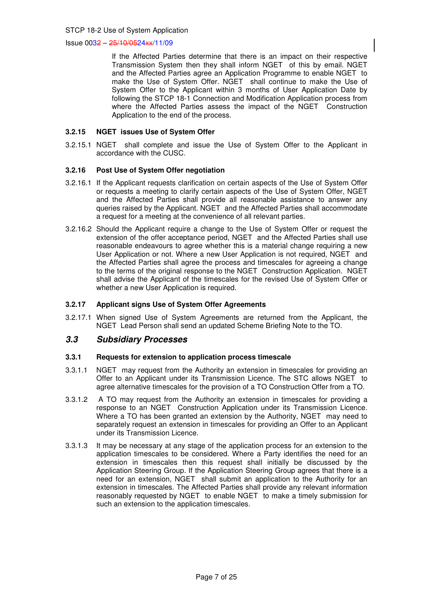If the Affected Parties determine that there is an impact on their respective Transmission System then they shall inform NGET of this by email. NGET and the Affected Parties agree an Application Programme to enable NGET to make the Use of System Offer. NGET shall continue to make the Use of System Offer to the Applicant within 3 months of User Application Date by following the STCP 18-1 Connection and Modification Application process from where the Affected Parties assess the impact of the NGET Construction Application to the end of the process.

# **3.2.15 NGET issues Use of System Offer**

3.2.15.1 NGET shall complete and issue the Use of System Offer to the Applicant in accordance with the CUSC.

# **3.2.16 Post Use of System Offer negotiation**

- 3.2.16.1 If the Applicant requests clarification on certain aspects of the Use of System Offer or requests a meeting to clarify certain aspects of the Use of System Offer, NGET and the Affected Parties shall provide all reasonable assistance to answer any queries raised by the Applicant. NGET and the Affected Parties shall accommodate a request for a meeting at the convenience of all relevant parties.
- 3.2.16.2 Should the Applicant require a change to the Use of System Offer or request the extension of the offer acceptance period, NGET and the Affected Parties shall use reasonable endeavours to agree whether this is a material change requiring a new User Application or not. Where a new User Application is not required, NGET and the Affected Parties shall agree the process and timescales for agreeing a change to the terms of the original response to the NGET Construction Application. NGET shall advise the Applicant of the timescales for the revised Use of System Offer or whether a new User Application is required.

### **3.2.17 Applicant signs Use of System Offer Agreements**

3.2.17.1 When signed Use of System Agreements are returned from the Applicant, the NGET Lead Person shall send an updated Scheme Briefing Note to the TO.

# **3.3 Subsidiary Processes**

### **3.3.1 Requests for extension to application process timescale**

- 3.3.1.1 NGET may request from the Authority an extension in timescales for providing an Offer to an Applicant under its Transmission Licence. The STC allows NGET to agree alternative timescales for the provision of a TO Construction Offer from a TO.
- 3.3.1.2 A TO may request from the Authority an extension in timescales for providing a response to an NGET Construction Application under its Transmission Licence. Where a TO has been granted an extension by the Authority, NGET may need to separately request an extension in timescales for providing an Offer to an Applicant under its Transmission Licence.
- 3.3.1.3 It may be necessary at any stage of the application process for an extension to the application timescales to be considered. Where a Party identifies the need for an extension in timescales then this request shall initially be discussed by the Application Steering Group. If the Application Steering Group agrees that there is a need for an extension, NGET shall submit an application to the Authority for an extension in timescales. The Affected Parties shall provide any relevant information reasonably requested by NGET to enable NGET to make a timely submission for such an extension to the application timescales.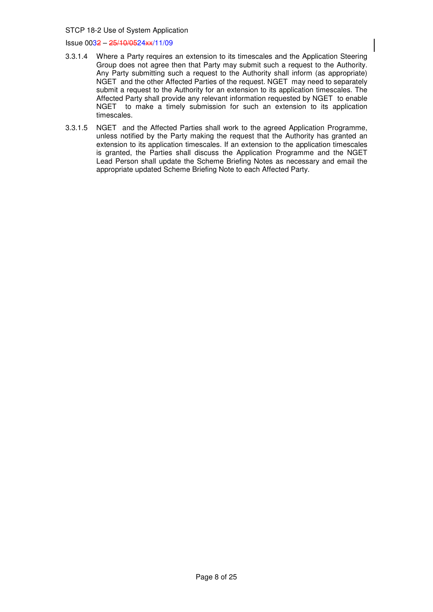- 3.3.1.4 Where a Party requires an extension to its timescales and the Application Steering Group does not agree then that Party may submit such a request to the Authority. Any Party submitting such a request to the Authority shall inform (as appropriate) NGET and the other Affected Parties of the request. NGET may need to separately submit a request to the Authority for an extension to its application timescales. The Affected Party shall provide any relevant information requested by NGET to enable NGET to make a timely submission for such an extension to its application timescales.
- 3.3.1.5 NGET and the Affected Parties shall work to the agreed Application Programme, unless notified by the Party making the request that the Authority has granted an extension to its application timescales. If an extension to the application timescales is granted, the Parties shall discuss the Application Programme and the NGET Lead Person shall update the Scheme Briefing Notes as necessary and email the appropriate updated Scheme Briefing Note to each Affected Party.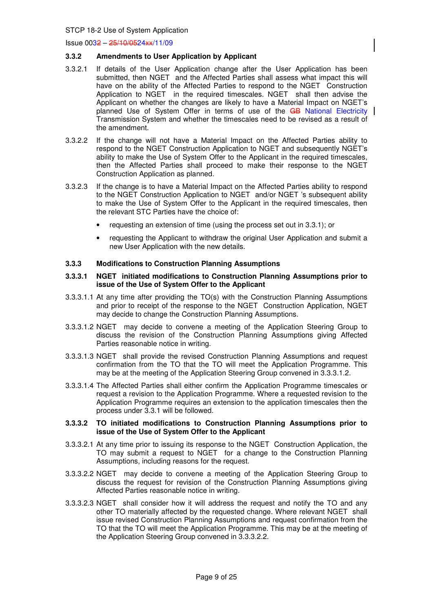Issue 0032 – 25/10/0524xx/11/09

### **3.3.2 Amendments to User Application by Applicant**

- 3.3.2.1 If details of the User Application change after the User Application has been submitted, then NGET and the Affected Parties shall assess what impact this will have on the ability of the Affected Parties to respond to the NGET Construction Application to NGET in the required timescales. NGET shall then advise the Applicant on whether the changes are likely to have a Material Impact on NGET's planned Use of System Offer in terms of use of the GB National Electricity | Transmission System and whether the timescales need to be revised as a result of the amendment.
- 3.3.2.2 If the change will not have a Material Impact on the Affected Parties ability to respond to the NGET Construction Application to NGET and subsequently NGET's ability to make the Use of System Offer to the Applicant in the required timescales, then the Affected Parties shall proceed to make their response to the NGET Construction Application as planned.
- 3.3.2.3 If the change is to have a Material Impact on the Affected Parties ability to respond to the NGET Construction Application to NGET and/or NGET 's subsequent ability to make the Use of System Offer to the Applicant in the required timescales, then the relevant STC Parties have the choice of:
	- requesting an extension of time (using the process set out in 3.3.1); or
	- requesting the Applicant to withdraw the original User Application and submit a new User Application with the new details.

# **3.3.3 Modifications to Construction Planning Assumptions**

### **3.3.3.1 NGET initiated modifications to Construction Planning Assumptions prior to issue of the Use of System Offer to the Applicant**

- 3.3.3.1.1 At any time after providing the TO(s) with the Construction Planning Assumptions and prior to receipt of the response to the NGET Construction Application, NGET may decide to change the Construction Planning Assumptions.
- 3.3.3.1.2 NGET may decide to convene a meeting of the Application Steering Group to discuss the revision of the Construction Planning Assumptions giving Affected Parties reasonable notice in writing.
- 3.3.3.1.3 NGET shall provide the revised Construction Planning Assumptions and request confirmation from the TO that the TO will meet the Application Programme. This may be at the meeting of the Application Steering Group convened in 3.3.3.1.2.
- 3.3.3.1.4 The Affected Parties shall either confirm the Application Programme timescales or request a revision to the Application Programme. Where a requested revision to the Application Programme requires an extension to the application timescales then the process under 3.3.1 will be followed.

### **3.3.3.2 TO initiated modifications to Construction Planning Assumptions prior to issue of the Use of System Offer to the Applicant**

- 3.3.3.2.1 At any time prior to issuing its response to the NGET Construction Application, the TO may submit a request to NGET for a change to the Construction Planning Assumptions, including reasons for the request.
- 3.3.3.2.2 NGET may decide to convene a meeting of the Application Steering Group to discuss the request for revision of the Construction Planning Assumptions giving Affected Parties reasonable notice in writing.
- 3.3.3.2.3 NGET shall consider how it will address the request and notify the TO and any other TO materially affected by the requested change. Where relevant NGET shall issue revised Construction Planning Assumptions and request confirmation from the TO that the TO will meet the Application Programme. This may be at the meeting of the Application Steering Group convened in 3.3.3.2.2.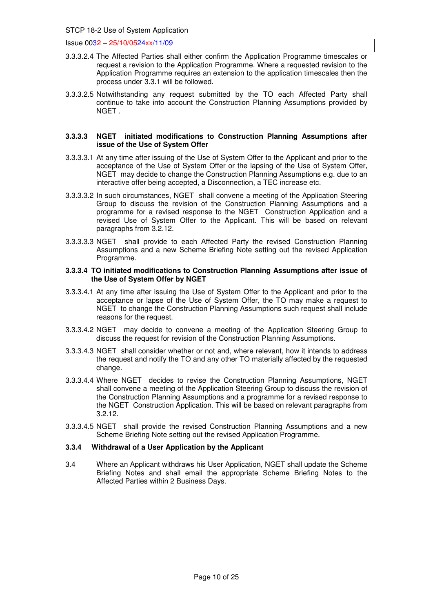Issue 0032 – 25/10/0524xx/11/09

- 3.3.3.2.4 The Affected Parties shall either confirm the Application Programme timescales or request a revision to the Application Programme. Where a requested revision to the Application Programme requires an extension to the application timescales then the process under 3.3.1 will be followed.
- 3.3.3.2.5 Notwithstanding any request submitted by the TO each Affected Party shall continue to take into account the Construction Planning Assumptions provided by NGET .

### **3.3.3.3 NGET initiated modifications to Construction Planning Assumptions after issue of the Use of System Offer**

- 3.3.3.3.1 At any time after issuing of the Use of System Offer to the Applicant and prior to the acceptance of the Use of System Offer or the lapsing of the Use of System Offer, NGET may decide to change the Construction Planning Assumptions e.g. due to an interactive offer being accepted, a Disconnection, a TEC increase etc.
- 3.3.3.3.2 In such circumstances, NGET shall convene a meeting of the Application Steering Group to discuss the revision of the Construction Planning Assumptions and a programme for a revised response to the NGET Construction Application and a revised Use of System Offer to the Applicant. This will be based on relevant paragraphs from 3.2.12.
- 3.3.3.3.3 NGET shall provide to each Affected Party the revised Construction Planning Assumptions and a new Scheme Briefing Note setting out the revised Application Programme.

#### **3.3.3.4 TO initiated modifications to Construction Planning Assumptions after issue of the Use of System Offer by NGET**

- 3.3.3.4.1 At any time after issuing the Use of System Offer to the Applicant and prior to the acceptance or lapse of the Use of System Offer, the TO may make a request to NGET to change the Construction Planning Assumptions such request shall include reasons for the request.
- 3.3.3.4.2 NGET may decide to convene a meeting of the Application Steering Group to discuss the request for revision of the Construction Planning Assumptions.
- 3.3.3.4.3 NGET shall consider whether or not and, where relevant, how it intends to address the request and notify the TO and any other TO materially affected by the requested change.
- 3.3.3.4.4 Where NGET decides to revise the Construction Planning Assumptions, NGET shall convene a meeting of the Application Steering Group to discuss the revision of the Construction Planning Assumptions and a programme for a revised response to the NGET Construction Application. This will be based on relevant paragraphs from 3.2.12.
- 3.3.3.4.5 NGET shall provide the revised Construction Planning Assumptions and a new Scheme Briefing Note setting out the revised Application Programme.

### **3.3.4 Withdrawal of a User Application by the Applicant**

3.4 Where an Applicant withdraws his User Application, NGET shall update the Scheme Briefing Notes and shall email the appropriate Scheme Briefing Notes to the Affected Parties within 2 Business Days.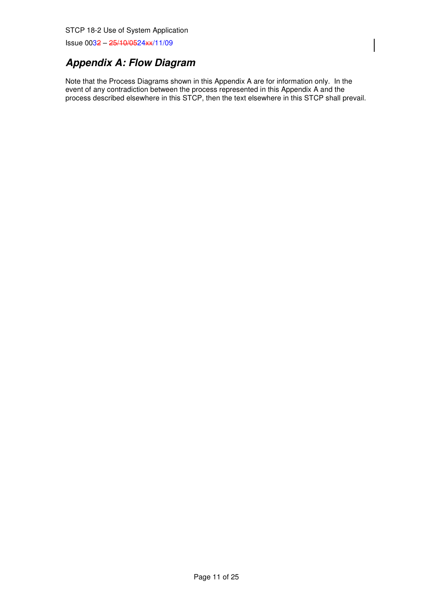Issue 0032 – 25/10/0524xx/11/09

# **Appendix A: Flow Diagram**

Note that the Process Diagrams shown in this Appendix A are for information only. In the event of any contradiction between the process represented in this Appendix A and the process described elsewhere in this STCP, then the text elsewhere in this STCP shall prevail.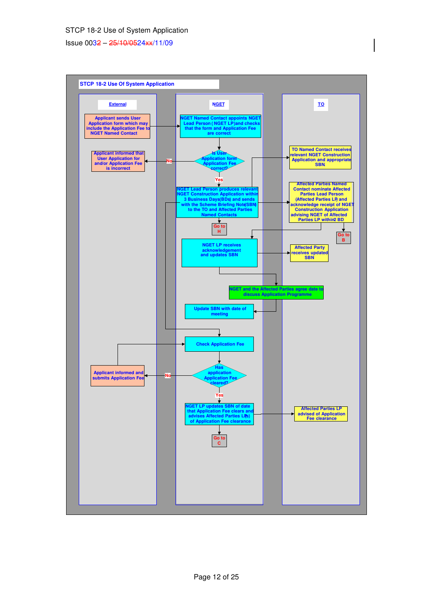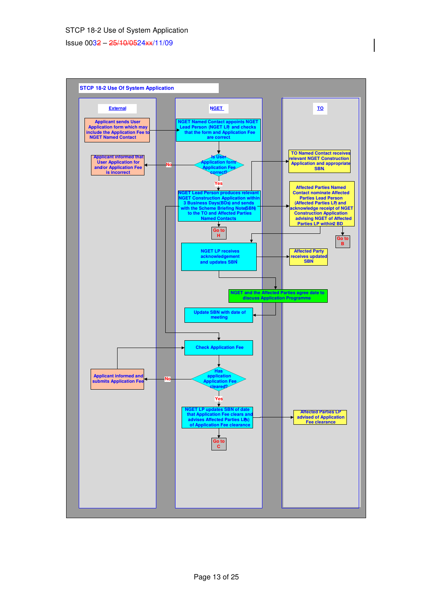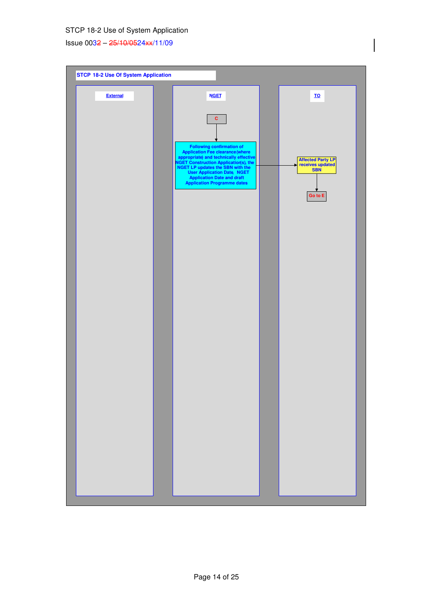| <b>STCP 18-2 Use Of System Application</b> |                                                                                                                                                                                                                                                                      |                                                                             |
|--------------------------------------------|----------------------------------------------------------------------------------------------------------------------------------------------------------------------------------------------------------------------------------------------------------------------|-----------------------------------------------------------------------------|
| <b>External</b>                            | <b>NGET</b><br>¢<br>Following confirmation of<br>Application Fee clearance(where<br>appropriate) and technically effective<br>NGET Construction Application(s), the<br>NGET LP updates the SBN with the<br>User Application Date, NGET<br>Application Date and draft | <u>το</u><br>Affected Party LP<br>receives updated<br><b>SBN</b><br>Go to E |
|                                            |                                                                                                                                                                                                                                                                      |                                                                             |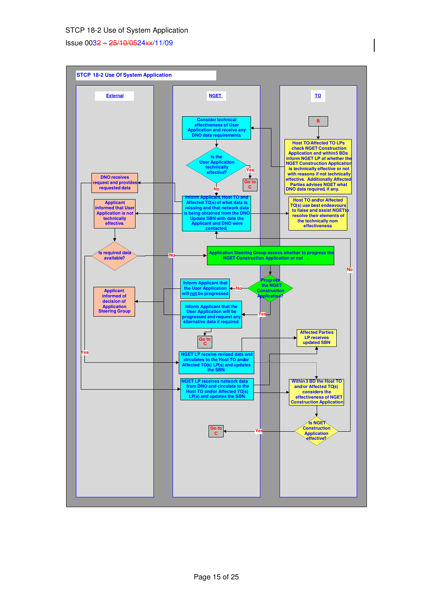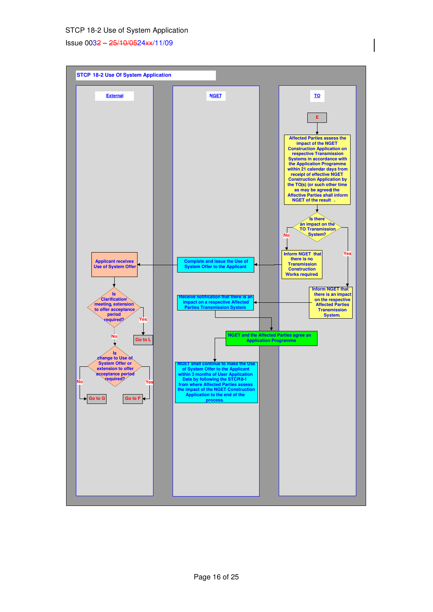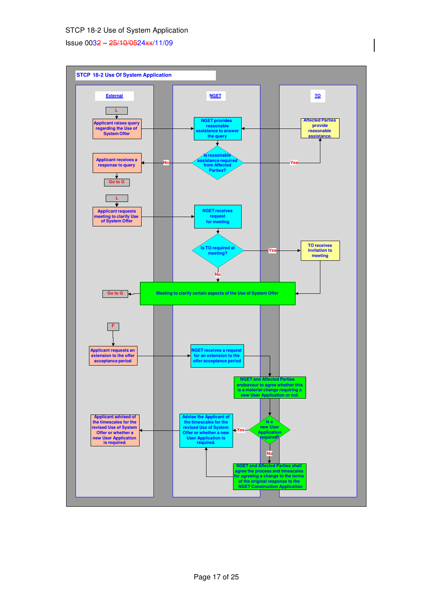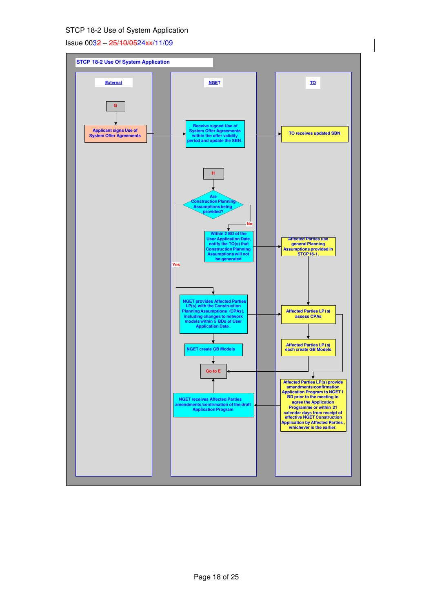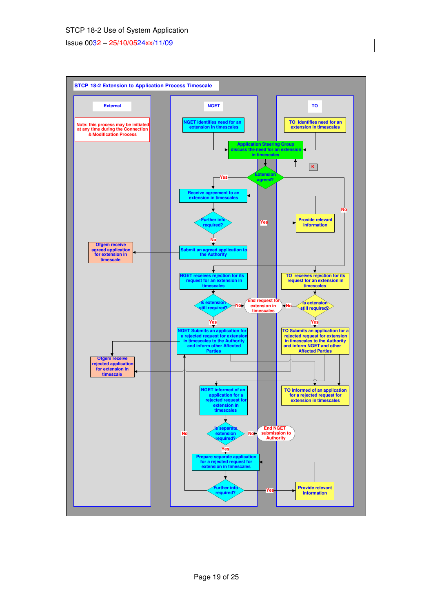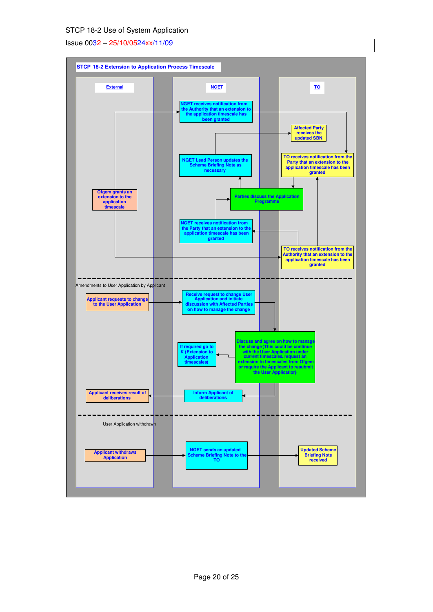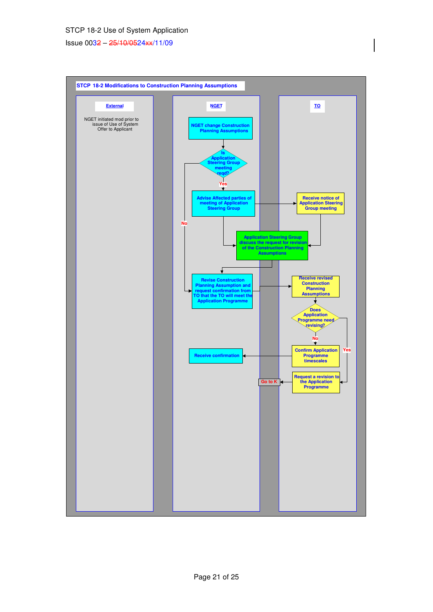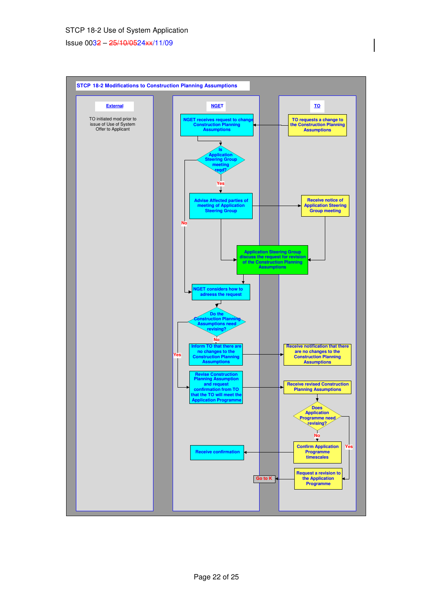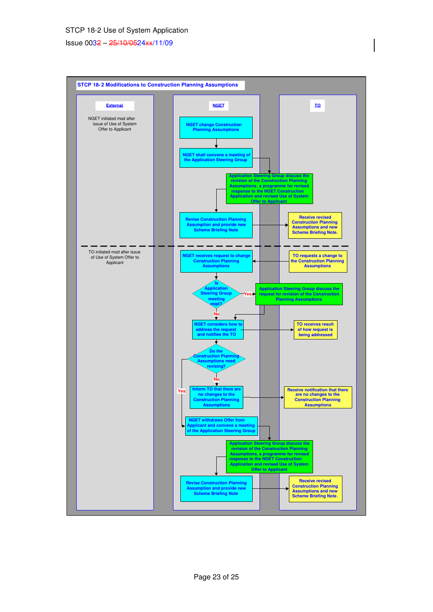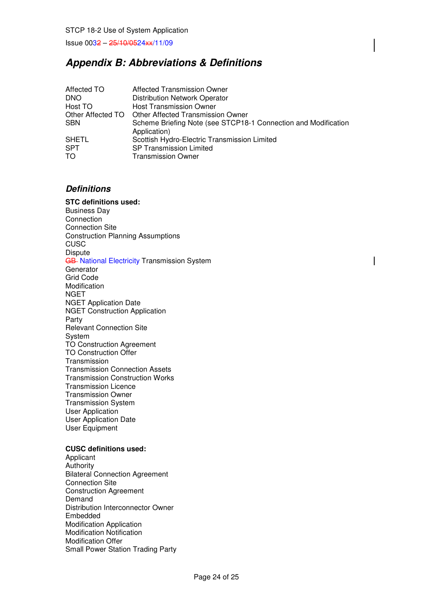# **Appendix B: Abbreviations & Definitions**

| Affected TO  | Affected Transmission Owner                                    |
|--------------|----------------------------------------------------------------|
| <b>DNO</b>   | <b>Distribution Network Operator</b>                           |
| Host TO      | <b>Host Transmission Owner</b>                                 |
|              | Other Affected TO   Other Affected Transmission Owner          |
| <b>SBN</b>   | Scheme Briefing Note (see STCP18-1 Connection and Modification |
|              | Application)                                                   |
| <b>SHETL</b> | Scottish Hydro-Electric Transmission Limited                   |
| <b>SPT</b>   | <b>SP Transmission Limited</b>                                 |
| TO.          | <b>Transmission Owner</b>                                      |

# **Definitions**

# **STC definitions used:**

Business Day Connection Connection Site Construction Planning Assumptions CUSC **Dispute** GB National Electricity Transmission System

**Generator** Grid Code Modification NGET NGET Application Date NGET Construction Application Party Relevant Connection Site System TO Construction Agreement TO Construction Offer Transmission Transmission Connection Assets Transmission Construction Works Transmission Licence Transmission Owner Transmission System User Application User Application Date User Equipment

# **CUSC definitions used:**

Applicant Authority Bilateral Connection Agreement Connection Site Construction Agreement Demand Distribution Interconnector Owner Embedded Modification Application Modification Notification Modification Offer Small Power Station Trading Party